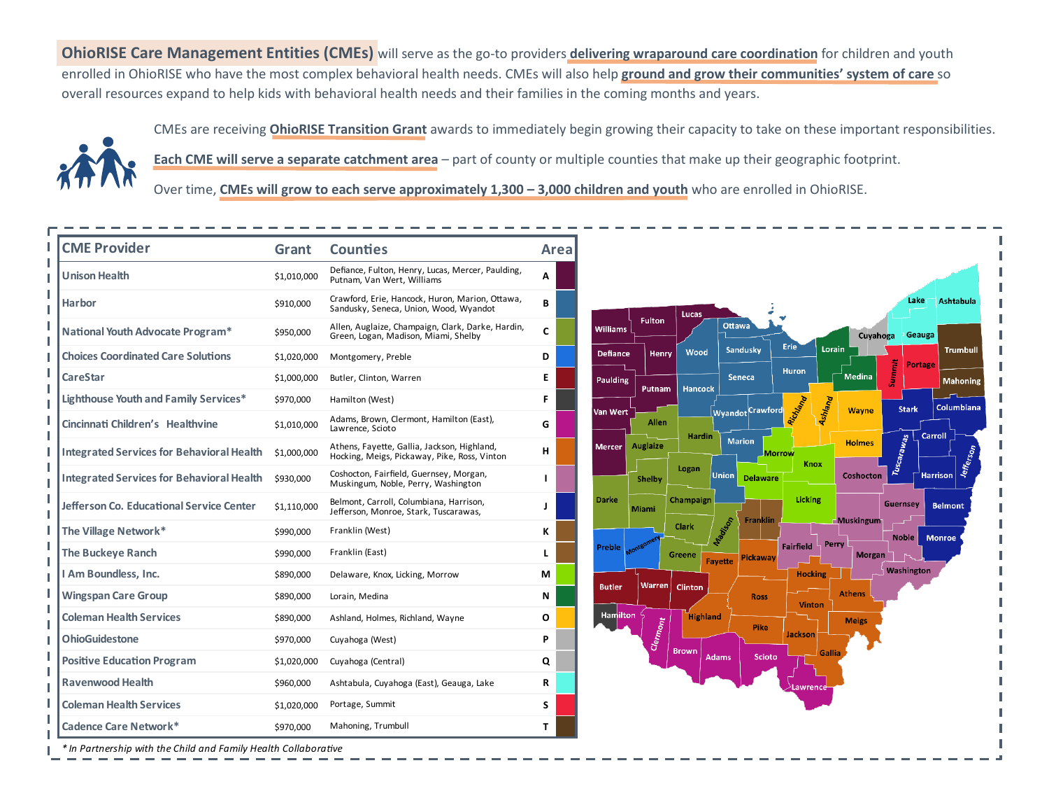**OhioRISE Care Management Entities (CMEs)** will serve as the go-to providers **delivering wraparound care coordination** for children and youth enrolled in OhioRISE who have the most complex behavioral health needs. CMEs will also help **ground and grow their communities' system of care** so overall resources expand to help kids with behavioral health needs and their families in the coming months and years.



CMEs are receiving **OhioRISE Transition Grant** awards to immediately begin growing their capacity to take on these important responsibilities.

**Each CME will serve a separate catchment area** – part of county or multiple counties that make up their geographic footprint.

Over time, CMEs will grow to each serve approximately 1,300 - 3,000 children and youth who are enrolled in OhioRISE.

| <b>CME Provider</b>                              | Grant       | <b>Counties</b>                                                                             |   | Area |  |
|--------------------------------------------------|-------------|---------------------------------------------------------------------------------------------|---|------|--|
| <b>Unison Health</b>                             | \$1,010,000 | Defiance, Fulton, Henry, Lucas, Mercer, Paulding,<br>Putnam, Van Wert, Williams             | A |      |  |
| Harbor                                           | \$910,000   | Crawford, Erie, Hancock, Huron, Marion, Ottawa,<br>Sandusky, Seneca, Union, Wood, Wyandot   | В |      |  |
| National Youth Advocate Program*                 | \$950,000   | Allen, Auglaize, Champaign, Clark, Darke, Hardin,<br>Green, Logan, Madison, Miami, Shelby   | C |      |  |
| <b>Choices Coordinated Care Solutions</b>        | \$1,020,000 | Montgomery, Preble                                                                          | D |      |  |
| <b>CareStar</b>                                  | \$1,000,000 | Butler, Clinton, Warren                                                                     | Е |      |  |
| Lighthouse Youth and Family Services*            | \$970,000   | Hamilton (West)                                                                             | F |      |  |
| Cincinnati Children's Healthvine                 | \$1,010,000 | Adams, Brown, Clermont, Hamilton (East),<br>Lawrence, Scioto                                | G |      |  |
| <b>Integrated Services for Behavioral Health</b> | \$1,000,000 | Athens, Fayette, Gallia, Jackson, Highland,<br>Hocking, Meigs, Pickaway, Pike, Ross, Vinton | н |      |  |
| <b>Integrated Services for Behavioral Health</b> | \$930,000   | Coshocton, Fairfield, Guernsey, Morgan,<br>Muskingum, Noble, Perry, Washington              | L |      |  |
| Jefferson Co. Educational Service Center         | \$1,110,000 | Belmont, Carroll, Columbiana, Harrison,<br>Jefferson, Monroe, Stark, Tuscarawas,            | J |      |  |
| The Village Network*                             | \$990,000   | Franklin (West)                                                                             | ĸ |      |  |
| <b>The Buckeye Ranch</b>                         | \$990,000   | Franklin (East)                                                                             | L |      |  |
| I Am Boundless, Inc.                             | \$890,000   | Delaware, Knox, Licking, Morrow                                                             | М |      |  |
| <b>Wingspan Care Group</b>                       | \$890,000   | Lorain, Medina                                                                              | N |      |  |
| <b>Coleman Health Services</b>                   | \$890,000   | Ashland, Holmes, Richland, Wayne                                                            | O |      |  |
| <b>OhioGuidestone</b>                            | \$970,000   | Cuyahoga (West)                                                                             | P |      |  |
| <b>Positive Education Program</b>                | \$1,020,000 | Cuyahoga (Central)                                                                          | Q |      |  |
| <b>Ravenwood Health</b>                          | \$960,000   | Ashtabula, Cuyahoga (East), Geauga, Lake                                                    | R |      |  |
| <b>Coleman Health Services</b>                   | \$1,020,000 | Portage, Summit                                                                             | S |      |  |
| <b>Cadence Care Network*</b>                     | \$970,000   | Mahoning, Trumbull                                                                          | т |      |  |



*\* In Partnership with the Child and Family Health Collaborative*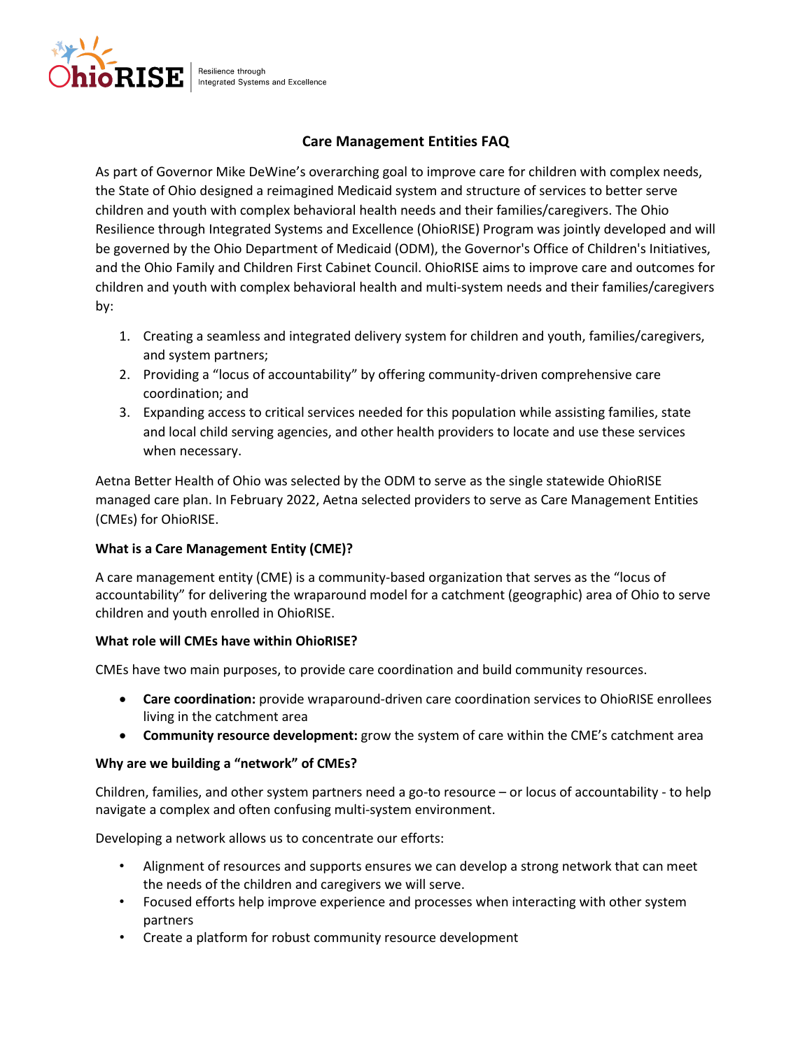

Resilience through Integrated Systems and Excellence

# **Care Management Entities FAQ**

As part of Governor Mike DeWine's overarching goal to improve care for children with complex needs, the State of Ohio designed a reimagined Medicaid system and structure of services to better serve children and youth with complex behavioral health needs and their families/caregivers. The Ohio Resilience through Integrated Systems and Excellence (OhioRISE) Program was jointly developed and will be governed by the Ohio Department of Medicaid (ODM), the Governor's Office of Children's Initiatives, and the Ohio Family and Children First Cabinet Council. OhioRISE aims to improve care and outcomes for children and youth with complex behavioral health and multi-system needs and their families/caregivers by:

- 1. Creating a seamless and integrated delivery system for children and youth, families/caregivers, and system partners;
- 2. Providing a "locus of accountability" by offering community-driven comprehensive care coordination; and
- 3. Expanding access to critical services needed for this population while assisting families, state and local child serving agencies, and other health providers to locate and use these services when necessary.

Aetna Better Health of Ohio was selected by the ODM to serve as the single statewide OhioRISE managed care plan. In February 2022, Aetna selected providers to serve as Care Management Entities (CMEs) for OhioRISE.

## **What is a Care Management Entity (CME)?**

A care management entity (CME) is a community-based organization that serves as the "locus of accountability" for delivering the wraparound model for a catchment (geographic) area of Ohio to serve children and youth enrolled in OhioRISE.

## **What role will CMEs have within OhioRISE?**

CMEs have two main purposes, to provide care coordination and build community resources.

- **Care coordination:** provide wraparound-driven care coordination services to OhioRISE enrollees living in the catchment area
- **Community resource development:** grow the system of care within the CME's catchment area

## **Why are we building a "network" of CMEs?**

Children, families, and other system partners need a go-to resource – or locus of accountability - to help navigate a complex and often confusing multi-system environment.

Developing a network allows us to concentrate our efforts:

- Alignment of resources and supports ensures we can develop a strong network that can meet the needs of the children and caregivers we will serve.
- Focused efforts help improve experience and processes when interacting with other system partners
- Create a platform for robust community resource development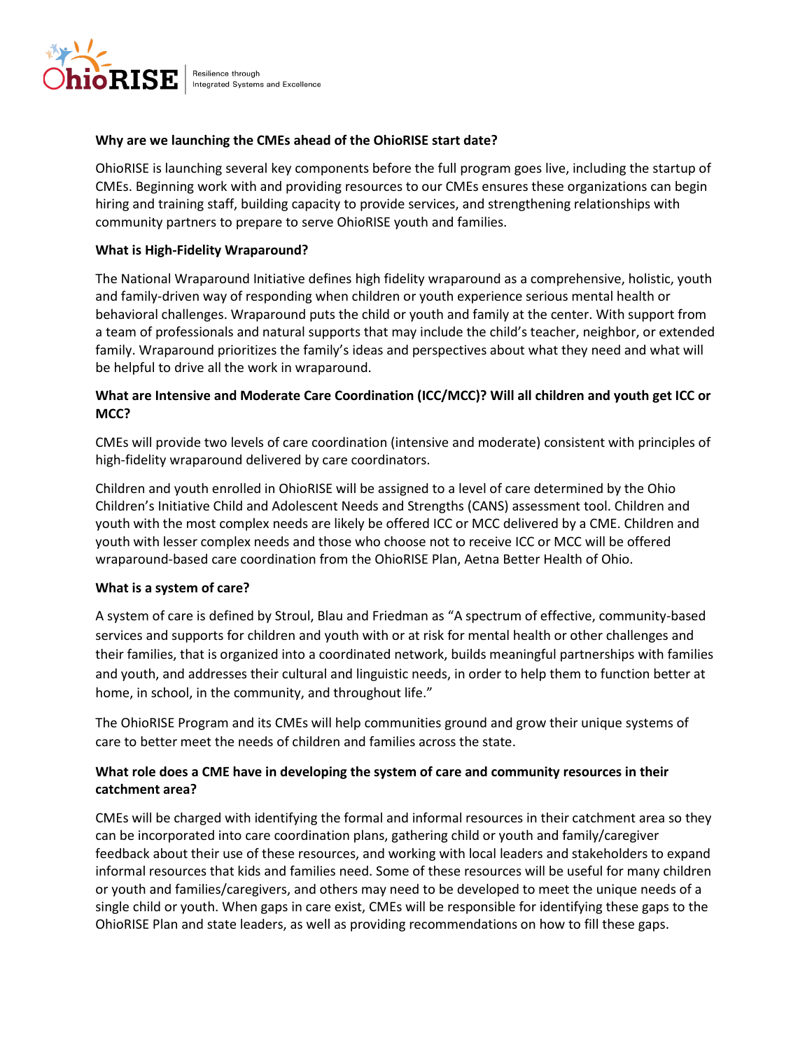

Resilience through Integrated Systems and Excellence

## **Why are we launching the CMEs ahead of the OhioRISE start date?**

OhioRISE is launching several key components before the full program goes live, including the startup of CMEs. Beginning work with and providing resources to our CMEs ensures these organizations can begin hiring and training staff, building capacity to provide services, and strengthening relationships with community partners to prepare to serve OhioRISE youth and families.

### **What is High-Fidelity Wraparound?**

The National Wraparound Initiative defines high fidelity wraparound as a comprehensive, holistic, youth and family-driven way of responding when children or youth experience serious mental health or behavioral challenges. Wraparound puts the child or youth and family at the center. With support from a team of professionals and natural supports that may include the child's teacher, neighbor, or extended family. Wraparound prioritizes the family's ideas and perspectives about what they need and what will be helpful to drive all the work in wraparound.

## **What are Intensive and Moderate Care Coordination (ICC/MCC)? Will all children and youth get ICC or MCC?**

CMEs will provide two levels of care coordination (intensive and moderate) consistent with principles of high-fidelity wraparound delivered by care coordinators.

Children and youth enrolled in OhioRISE will be assigned to a level of care determined by the Ohio Children's Initiative Child and Adolescent Needs and Strengths (CANS) assessment tool. Children and youth with the most complex needs are likely be offered ICC or MCC delivered by a CME. Children and youth with lesser complex needs and those who choose not to receive ICC or MCC will be offered wraparound-based care coordination from the OhioRISE Plan, Aetna Better Health of Ohio.

#### **What is a system of care?**

A system of care is defined by Stroul, Blau and Friedman as "A spectrum of effective, community-based services and supports for children and youth with or at risk for mental health or other challenges and their families, that is organized into a coordinated network, builds meaningful partnerships with families and youth, and addresses their cultural and linguistic needs, in order to help them to function better at home, in school, in the community, and throughout life."

The OhioRISE Program and its CMEs will help communities ground and grow their unique systems of care to better meet the needs of children and families across the state.

## **What role does a CME have in developing the system of care and community resources in their catchment area?**

CMEs will be charged with identifying the formal and informal resources in their catchment area so they can be incorporated into care coordination plans, gathering child or youth and family/caregiver feedback about their use of these resources, and working with local leaders and stakeholders to expand informal resources that kids and families need. Some of these resources will be useful for many children or youth and families/caregivers, and others may need to be developed to meet the unique needs of a single child or youth. When gaps in care exist, CMEs will be responsible for identifying these gaps to the OhioRISE Plan and state leaders, as well as providing recommendations on how to fill these gaps.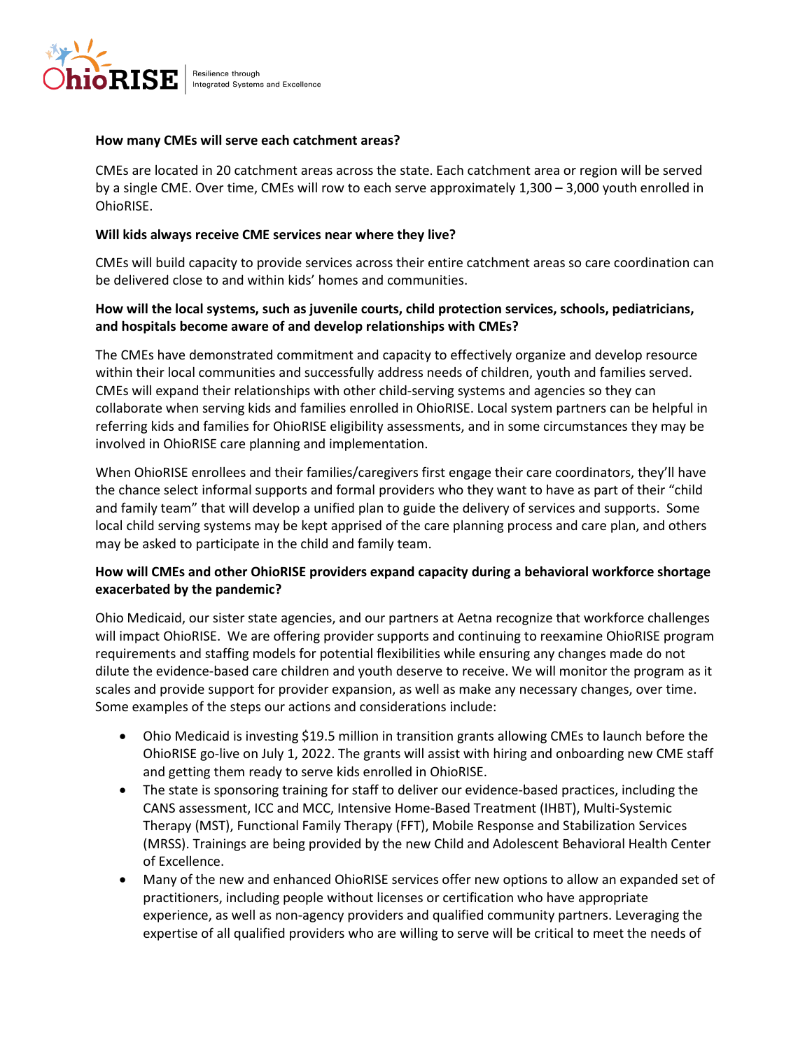

Resilience through Integrated Systems and Excellence

#### **How many CMEs will serve each catchment areas?**

CMEs are located in 20 catchment areas across the state. Each catchment area or region will be served by a single CME. Over time, CMEs will row to each serve approximately 1,300 – 3,000 youth enrolled in OhioRISE.

#### **Will kids always receive CME services near where they live?**

CMEs will build capacity to provide services across their entire catchment areas so care coordination can be delivered close to and within kids' homes and communities.

## **How will the local systems, such as juvenile courts, child protection services, schools, pediatricians, and hospitals become aware of and develop relationships with CMEs?**

The CMEs have demonstrated commitment and capacity to effectively organize and develop resource within their local communities and successfully address needs of children, youth and families served. CMEs will expand their relationships with other child-serving systems and agencies so they can collaborate when serving kids and families enrolled in OhioRISE. Local system partners can be helpful in referring kids and families for OhioRISE eligibility assessments, and in some circumstances they may be involved in OhioRISE care planning and implementation.

When OhioRISE enrollees and their families/caregivers first engage their care coordinators, they'll have the chance select informal supports and formal providers who they want to have as part of their "child and family team" that will develop a unified plan to guide the delivery of services and supports. Some local child serving systems may be kept apprised of the care planning process and care plan, and others may be asked to participate in the child and family team.

## **How will CMEs and other OhioRISE providers expand capacity during a behavioral workforce shortage exacerbated by the pandemic?**

Ohio Medicaid, our sister state agencies, and our partners at Aetna recognize that workforce challenges will impact OhioRISE. We are offering provider supports and continuing to reexamine OhioRISE program requirements and staffing models for potential flexibilities while ensuring any changes made do not dilute the evidence-based care children and youth deserve to receive. We will monitor the program as it scales and provide support for provider expansion, as well as make any necessary changes, over time. Some examples of the steps our actions and considerations include:

- Ohio Medicaid is investing \$19.5 million in transition grants allowing CMEs to launch before the OhioRISE go-live on July 1, 2022. The grants will assist with hiring and onboarding new CME staff and getting them ready to serve kids enrolled in OhioRISE.
- The state is sponsoring training for staff to deliver our evidence-based practices, including the CANS assessment, ICC and MCC, Intensive Home-Based Treatment (IHBT), Multi-Systemic Therapy (MST), Functional Family Therapy (FFT), Mobile Response and Stabilization Services (MRSS). Trainings are being provided by the new Child and Adolescent Behavioral Health Center of Excellence.
- Many of the new and enhanced OhioRISE services offer new options to allow an expanded set of practitioners, including people without licenses or certification who have appropriate experience, as well as non-agency providers and qualified community partners. Leveraging the expertise of all qualified providers who are willing to serve will be critical to meet the needs of